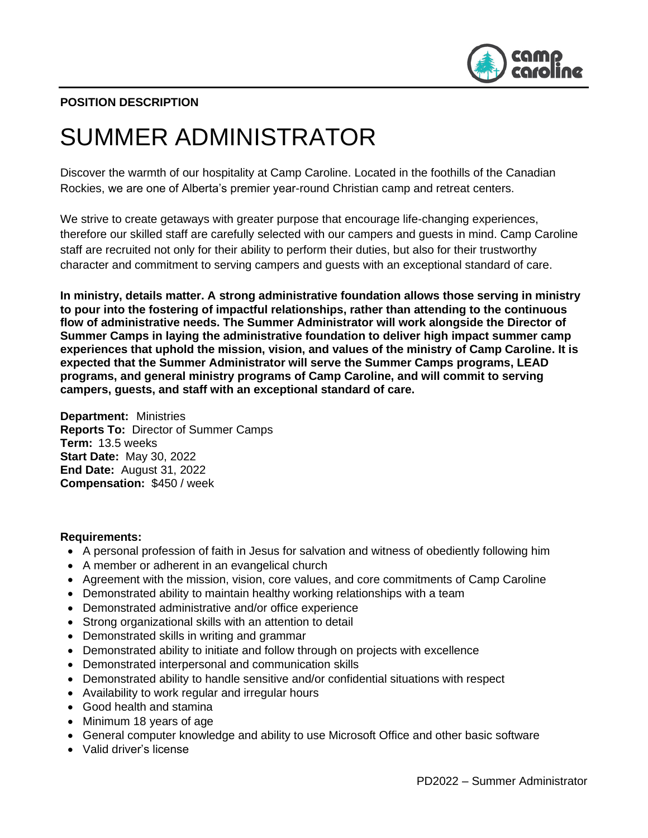

# **POSITION DESCRIPTION**

# SUMMER ADMINISTRATOR

Discover the warmth of our hospitality at Camp Caroline. Located in the foothills of the Canadian Rockies, we are one of Alberta's premier year-round Christian camp and retreat centers.

We strive to create getaways with greater purpose that encourage life-changing experiences, therefore our skilled staff are carefully selected with our campers and guests in mind. Camp Caroline staff are recruited not only for their ability to perform their duties, but also for their trustworthy character and commitment to serving campers and guests with an exceptional standard of care.

**In ministry, details matter. A strong administrative foundation allows those serving in ministry to pour into the fostering of impactful relationships, rather than attending to the continuous flow of administrative needs. The Summer Administrator will work alongside the Director of Summer Camps in laying the administrative foundation to deliver high impact summer camp experiences that uphold the mission, vision, and values of the ministry of Camp Caroline. It is expected that the Summer Administrator will serve the Summer Camps programs, LEAD programs, and general ministry programs of Camp Caroline, and will commit to serving campers, guests, and staff with an exceptional standard of care.** 

**Department:** Ministries **Reports To:** Director of Summer Camps **Term:** 13.5 weeks **Start Date:** May 30, 2022 **End Date:** August 31, 2022 **Compensation:** \$450 / week

#### **Requirements:**

- A personal profession of faith in Jesus for salvation and witness of obediently following him
- A member or adherent in an evangelical church
- Agreement with the mission, vision, core values, and core commitments of Camp Caroline
- Demonstrated ability to maintain healthy working relationships with a team
- Demonstrated administrative and/or office experience
- Strong organizational skills with an attention to detail
- Demonstrated skills in writing and grammar
- Demonstrated ability to initiate and follow through on projects with excellence
- Demonstrated interpersonal and communication skills
- Demonstrated ability to handle sensitive and/or confidential situations with respect
- Availability to work regular and irregular hours
- Good health and stamina
- Minimum 18 years of age
- General computer knowledge and ability to use Microsoft Office and other basic software
- Valid driver's license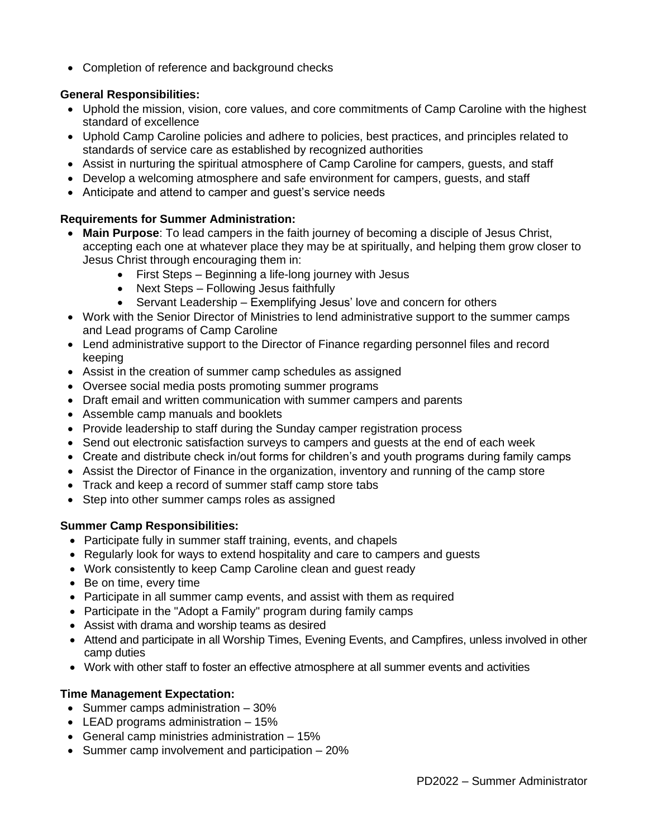• Completion of reference and background checks

### **General Responsibilities:**

- Uphold the mission, vision, core values, and core commitments of Camp Caroline with the highest standard of excellence
- Uphold Camp Caroline policies and adhere to policies, best practices, and principles related to standards of service care as established by recognized authorities
- Assist in nurturing the spiritual atmosphere of Camp Caroline for campers, guests, and staff
- Develop a welcoming atmosphere and safe environment for campers, guests, and staff
- Anticipate and attend to camper and guest's service needs

### **Requirements for Summer Administration:**

- **Main Purpose**: To lead campers in the faith journey of becoming a disciple of Jesus Christ, accepting each one at whatever place they may be at spiritually, and helping them grow closer to Jesus Christ through encouraging them in:
	- First Steps Beginning a life-long journey with Jesus
	- Next Steps Following Jesus faithfully
	- Servant Leadership Exemplifying Jesus' love and concern for others
- Work with the Senior Director of Ministries to lend administrative support to the summer camps and Lead programs of Camp Caroline
- Lend administrative support to the Director of Finance regarding personnel files and record keeping
- Assist in the creation of summer camp schedules as assigned
- Oversee social media posts promoting summer programs
- Draft email and written communication with summer campers and parents
- Assemble camp manuals and booklets
- Provide leadership to staff during the Sunday camper registration process
- Send out electronic satisfaction surveys to campers and guests at the end of each week
- Create and distribute check in/out forms for children's and youth programs during family camps
- Assist the Director of Finance in the organization, inventory and running of the camp store
- Track and keep a record of summer staff camp store tabs
- Step into other summer camps roles as assigned

#### **Summer Camp Responsibilities:**

- Participate fully in summer staff training, events, and chapels
- Regularly look for ways to extend hospitality and care to campers and guests
- Work consistently to keep Camp Caroline clean and guest ready
- Be on time, every time
- Participate in all summer camp events, and assist with them as required
- Participate in the "Adopt a Family" program during family camps
- Assist with drama and worship teams as desired
- Attend and participate in all Worship Times, Evening Events, and Campfires, unless involved in other camp duties
- Work with other staff to foster an effective atmosphere at all summer events and activities

## **Time Management Expectation:**

- Summer camps administration 30%
- LEAD programs administration 15%
- General camp ministries administration 15%
- Summer camp involvement and participation 20%